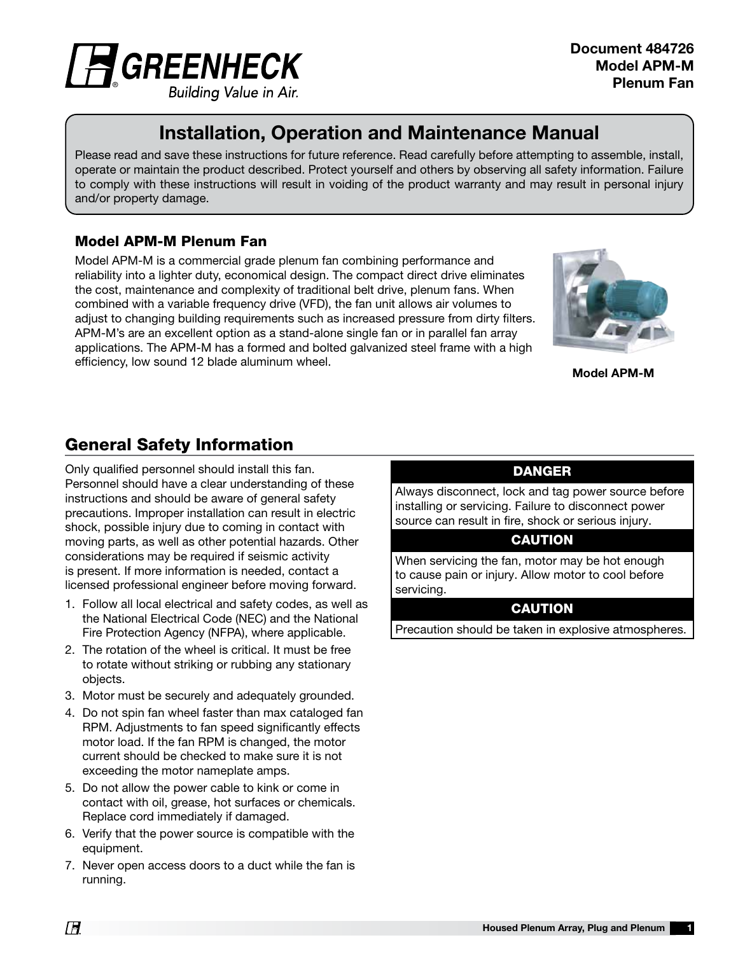

Building Value in Air.

# Installation, Operation and Maintenance Manual

Please read and save these instructions for future reference. Read carefully before attempting to assemble, install, operate or maintain the product described. Protect yourself and others by observing all safety information. Failure to comply with these instructions will result in voiding of the product warranty and may result in personal injury and/or property damage.

### Model APM-M Plenum Fan

Model APM-M is a commercial grade plenum fan combining performance and reliability into a lighter duty, economical design. The compact direct drive eliminates the cost, maintenance and complexity of traditional belt drive, plenum fans. When combined with a variable frequency drive (VFD), the fan unit allows air volumes to adjust to changing building requirements such as increased pressure from dirty filters. APM-M's are an excellent option as a stand-alone single fan or in parallel fan array applications. The APM-M has a formed and bolted galvanized steel frame with a high efficiency, low sound 12 blade aluminum wheel.



Model APM-M

### General Safety Information

Only qualified personnel should install this fan. Personnel should have a clear understanding of these instructions and should be aware of general safety precautions. Improper installation can result in electric shock, possible injury due to coming in contact with moving parts, as well as other potential hazards. Other considerations may be required if seismic activity is present. If more information is needed, contact a licensed professional engineer before moving forward.

- 1. Follow all local electrical and safety codes, as well as the National Electrical Code (NEC) and the National Fire Protection Agency (NFPA), where applicable.
- 2. The rotation of the wheel is critical. It must be free to rotate without striking or rubbing any stationary objects.
- 3. Motor must be securely and adequately grounded.
- 4. Do not spin fan wheel faster than max cataloged fan RPM. Adjustments to fan speed significantly effects motor load. If the fan RPM is changed, the motor current should be checked to make sure it is not exceeding the motor nameplate amps.
- 5. Do not allow the power cable to kink or come in contact with oil, grease, hot surfaces or chemicals. Replace cord immediately if damaged.
- 6. Verify that the power source is compatible with the equipment.
- 7. Never open access doors to a duct while the fan is running.

#### DANGER

Always disconnect, lock and tag power source before installing or servicing. Failure to disconnect power source can result in fire, shock or serious injury.

#### **CAUTION**

When servicing the fan, motor may be hot enough to cause pain or injury. Allow motor to cool before servicing.

### **CAUTION**

Precaution should be taken in explosive atmospheres.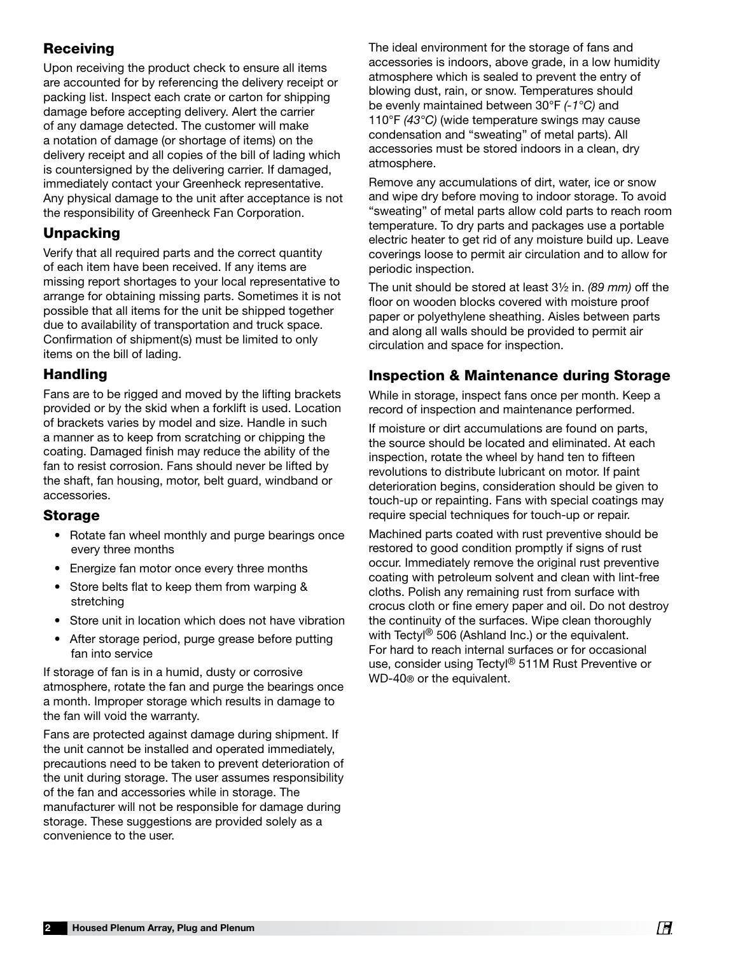### Receiving

Upon receiving the product check to ensure all items are accounted for by referencing the delivery receipt or packing list. Inspect each crate or carton for shipping damage before accepting delivery. Alert the carrier of any damage detected. The customer will make a notation of damage (or shortage of items) on the delivery receipt and all copies of the bill of lading which is countersigned by the delivering carrier. If damaged, immediately contact your Greenheck representative. Any physical damage to the unit after acceptance is not the responsibility of Greenheck Fan Corporation.

### Unpacking

Verify that all required parts and the correct quantity of each item have been received. If any items are missing report shortages to your local representative to arrange for obtaining missing parts. Sometimes it is not possible that all items for the unit be shipped together due to availability of transportation and truck space. Confirmation of shipment(s) must be limited to only items on the bill of lading.

### Handling

Fans are to be rigged and moved by the lifting brackets provided or by the skid when a forklift is used. Location of brackets varies by model and size. Handle in such a manner as to keep from scratching or chipping the coating. Damaged finish may reduce the ability of the fan to resist corrosion. Fans should never be lifted by the shaft, fan housing, motor, belt guard, windband or accessories.

### Storage

- Rotate fan wheel monthly and purge bearings once every three months
- Energize fan motor once every three months
- Store belts flat to keep them from warping & stretching
- Store unit in location which does not have vibration
- After storage period, purge grease before putting fan into service

If storage of fan is in a humid, dusty or corrosive atmosphere, rotate the fan and purge the bearings once a month. Improper storage which results in damage to the fan will void the warranty.

Fans are protected against damage during shipment. If the unit cannot be installed and operated immediately, precautions need to be taken to prevent deterioration of the unit during storage. The user assumes responsibility of the fan and accessories while in storage. The manufacturer will not be responsible for damage during storage. These suggestions are provided solely as a convenience to the user.

The ideal environment for the storage of fans and accessories is indoors, above grade, in a low humidity atmosphere which is sealed to prevent the entry of blowing dust, rain, or snow. Temperatures should be evenly maintained between 30°F *(-1°C)* and 110°F *(43°C)* (wide temperature swings may cause condensation and "sweating" of metal parts). All accessories must be stored indoors in a clean, dry atmosphere.

Remove any accumulations of dirt, water, ice or snow and wipe dry before moving to indoor storage. To avoid "sweating" of metal parts allow cold parts to reach room temperature. To dry parts and packages use a portable electric heater to get rid of any moisture build up. Leave coverings loose to permit air circulation and to allow for periodic inspection.

The unit should be stored at least 3½ in. *(89 mm)* off the floor on wooden blocks covered with moisture proof paper or polyethylene sheathing. Aisles between parts and along all walls should be provided to permit air circulation and space for inspection.

### Inspection & Maintenance during Storage

While in storage, inspect fans once per month. Keep a record of inspection and maintenance performed.

If moisture or dirt accumulations are found on parts, the source should be located and eliminated. At each inspection, rotate the wheel by hand ten to fifteen revolutions to distribute lubricant on motor. If paint deterioration begins, consideration should be given to touch-up or repainting. Fans with special coatings may require special techniques for touch-up or repair.

Machined parts coated with rust preventive should be restored to good condition promptly if signs of rust occur. Immediately remove the original rust preventive coating with petroleum solvent and clean with lint-free cloths. Polish any remaining rust from surface with crocus cloth or fine emery paper and oil. Do not destroy the continuity of the surfaces. Wipe clean thoroughly with Tectyl<sup>®</sup> 506 (Ashland Inc.) or the equivalent. For hard to reach internal surfaces or for occasional use, consider using Tectyl® 511M Rust Preventive or WD-40® or the equivalent.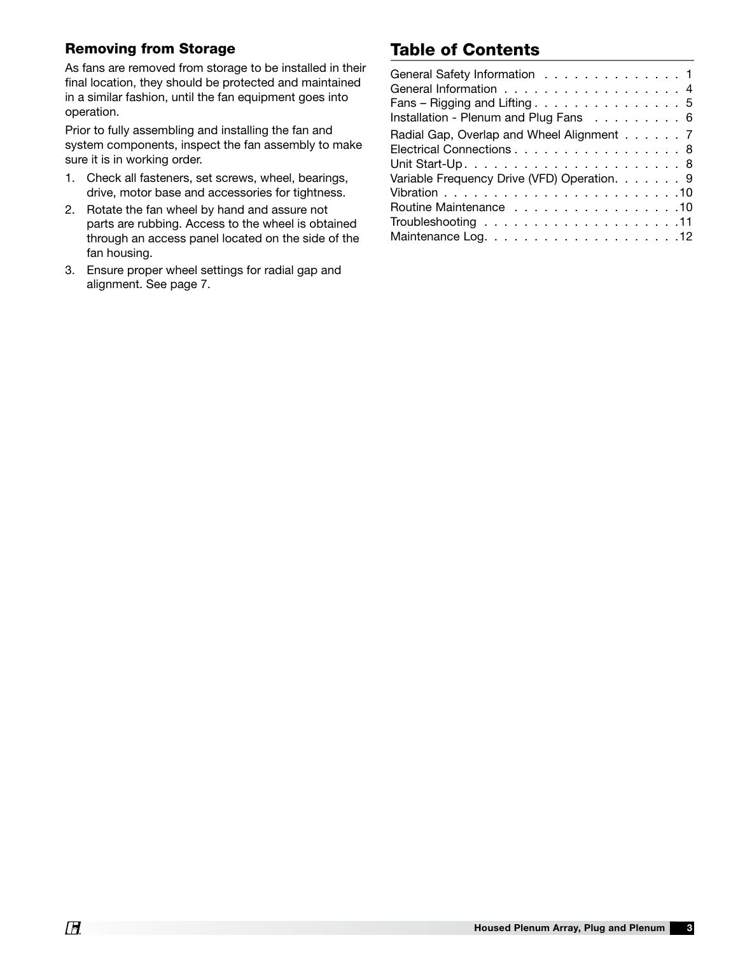### Removing from Storage

As fans are removed from storage to be installed in their final location, they should be protected and maintained in a similar fashion, until the fan equipment goes into operation.

Prior to fully assembling and installing the fan and system components, inspect the fan assembly to make sure it is in working order.

- 1. Check all fasteners, set screws, wheel, bearings, drive, motor base and accessories for tightness.
- 2. Rotate the fan wheel by hand and assure not parts are rubbing. Access to the wheel is obtained through an access panel located on the side of the fan housing.
- 3. Ensure proper wheel settings for radial gap and alignment. See page 7.

# Table of Contents

| General Safety Information 1                |  |  |  |  |
|---------------------------------------------|--|--|--|--|
| General Information 4                       |  |  |  |  |
| Fans - Rigging and Lifting 5                |  |  |  |  |
| Installation - Plenum and Plug Fans 6       |  |  |  |  |
| Radial Gap, Overlap and Wheel Alignment 7   |  |  |  |  |
| Electrical Connections 8                    |  |  |  |  |
|                                             |  |  |  |  |
| Variable Frequency Drive (VFD) Operation. 9 |  |  |  |  |
|                                             |  |  |  |  |
| Routine Maintenance 10                      |  |  |  |  |
|                                             |  |  |  |  |
|                                             |  |  |  |  |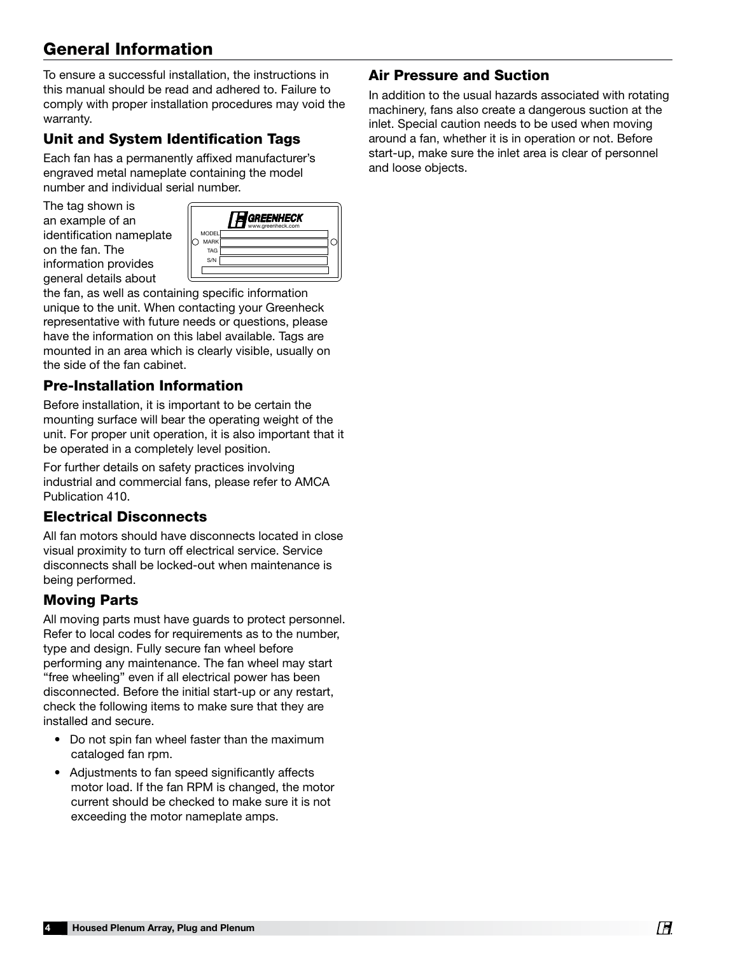# General Information

To ensure a successful installation, the instructions in this manual should be read and adhered to. Failure to comply with proper installation procedures may void the warranty.

### Unit and System Identification Tags

Each fan has a permanently affixed manufacturer's engraved metal nameplate containing the model number and individual serial number.

The tag shown is an example of an identification nameplate on the fan. The information provides general details about



the fan, as well as containing specific information unique to the unit. When contacting your Greenheck representative with future needs or questions, please have the information on this label available. Tags are mounted in an area which is clearly visible, usually on the side of the fan cabinet.

### Pre-Installation Information

Before installation, it is important to be certain the mounting surface will bear the operating weight of the unit. For proper unit operation, it is also important that it be operated in a completely level position.

For further details on safety practices involving industrial and commercial fans, please refer to AMCA Publication 410.

### Electrical Disconnects

All fan motors should have disconnects located in close visual proximity to turn off electrical service. Service disconnects shall be locked-out when maintenance is being performed.

### Moving Parts

All moving parts must have guards to protect personnel. Refer to local codes for requirements as to the number, type and design. Fully secure fan wheel before performing any maintenance. The fan wheel may start "free wheeling" even if all electrical power has been disconnected. Before the initial start-up or any restart, check the following items to make sure that they are installed and secure.

- Do not spin fan wheel faster than the maximum cataloged fan rpm.
- Adjustments to fan speed significantly affects motor load. If the fan RPM is changed, the motor current should be checked to make sure it is not exceeding the motor nameplate amps.

### Air Pressure and Suction

In addition to the usual hazards associated with rotating machinery, fans also create a dangerous suction at the inlet. Special caution needs to be used when moving around a fan, whether it is in operation or not. Before start-up, make sure the inlet area is clear of personnel and loose objects.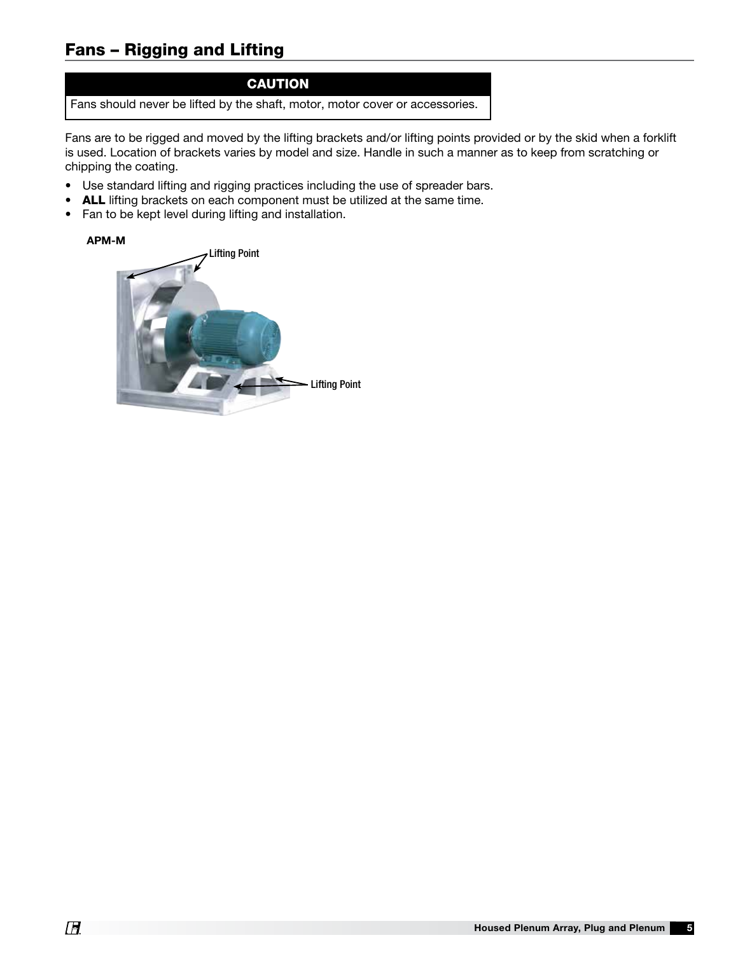### Fans – Rigging and Lifting

### **CAUTION**

Fans should never be lifted by the shaft, motor, motor cover or accessories.

Fans are to be rigged and moved by the lifting brackets and/or lifting points provided or by the skid when a forklift is used. Location of brackets varies by model and size. Handle in such a manner as to keep from scratching or chipping the coating.

- Use standard lifting and rigging practices including the use of spreader bars.
- ALL lifting brackets on each component must be utilized at the same time.
- Fan to be kept level during lifting and installation.

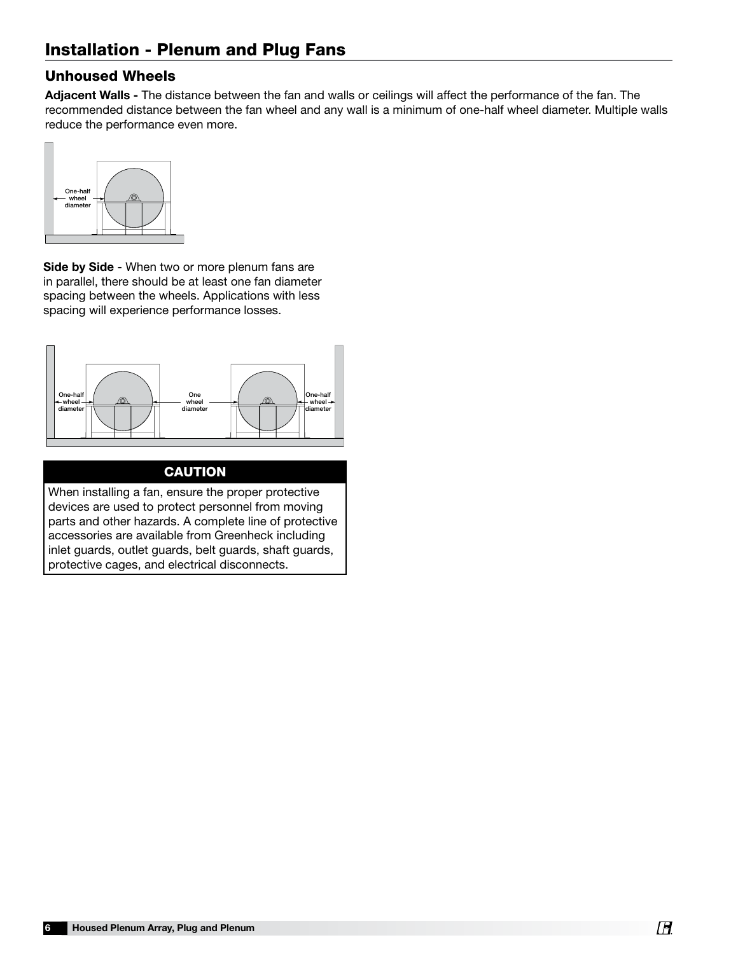### Unhoused Wheels

Adjacent Walls - The distance between the fan and walls or ceilings will affect the performance of the fan. The recommended distance between the fan wheel and any wall is a minimum of one-half wheel diameter. Multiple walls reduce the performance even more.



Side by Side - When two or more plenum fans are in parallel, there should be at least one fan diameter spacing between the wheels. Applications with less spacing will experience performance losses.



### **CAUTION**

When installing a fan, ensure the proper protective devices are used to protect personnel from moving parts and other hazards. A complete line of protective accessories are available from Greenheck including inlet guards, outlet guards, belt guards, shaft guards, protective cages, and electrical disconnects.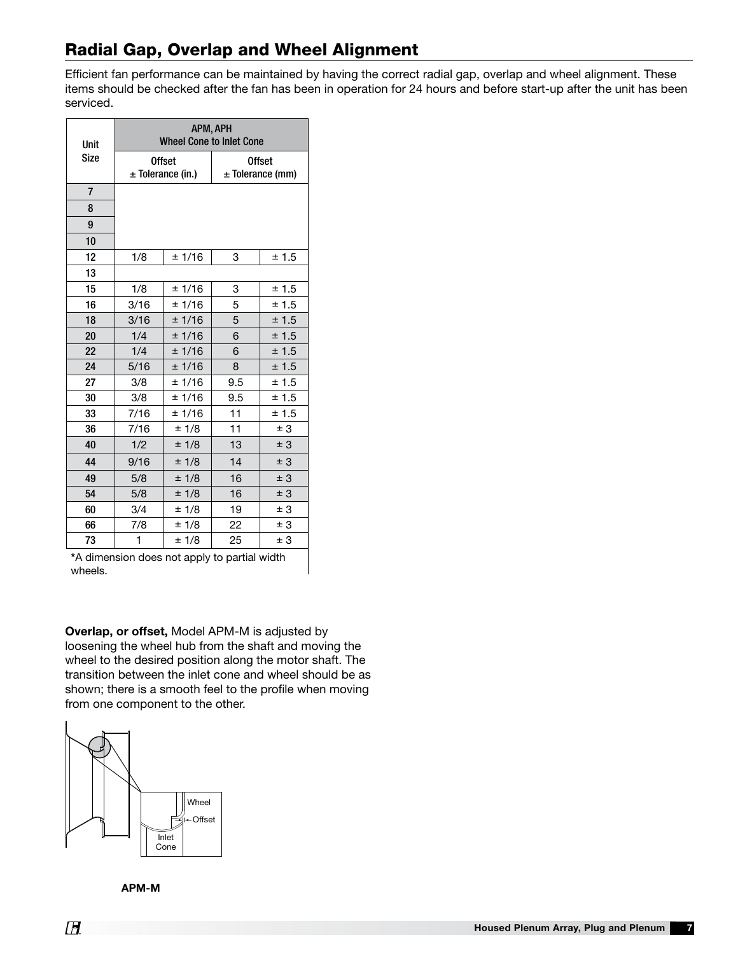## Radial Gap, Overlap and Wheel Alignment

Efficient fan performance can be maintained by having the correct radial gap, overlap and wheel alignment. These items should be checked after the fan has been in operation for 24 hours and before start-up after the unit has been serviced.

| Unit           | <b>APM, APH</b><br><b>Wheel Cone to Inlet Cone</b> |                                        |                                     |       |  |
|----------------|----------------------------------------------------|----------------------------------------|-------------------------------------|-------|--|
| <b>Size</b>    |                                                    | <b>Offset</b><br>$\pm$ Tolerance (in.) | <b>Offset</b><br>$±$ Tolerance (mm) |       |  |
| $\overline{7}$ |                                                    |                                        |                                     |       |  |
| 8              |                                                    |                                        |                                     |       |  |
| 9              |                                                    |                                        |                                     |       |  |
| 10             |                                                    |                                        |                                     |       |  |
| 12             | 1/8                                                | ± 1/16                                 | 3                                   | ± 1.5 |  |
| 13             |                                                    |                                        |                                     |       |  |
| 15             | 1/8                                                | ± 1/16                                 | 3                                   | ± 1.5 |  |
| 16             | 3/16                                               | ± 1/16                                 | 5                                   | ± 1.5 |  |
| 18             | 3/16                                               | ± 1/16                                 | 5                                   | ± 1.5 |  |
| 20             | 1/4                                                | ± 1/16                                 | 6                                   | ± 1.5 |  |
| 22             | 1/4                                                | ± 1/16                                 | 6                                   | ± 1.5 |  |
| 24             | 5/16                                               | ± 1/16                                 | 8                                   | ± 1.5 |  |
| 27             | 3/8                                                | ± 1/16                                 | 9.5                                 | ± 1.5 |  |
| 30             | 3/8                                                | ± 1/16                                 | 9.5                                 | ±1.5  |  |
| 33             | 7/16                                               | ± 1/16                                 | 11                                  | ± 1.5 |  |
| 36             | 7/16                                               | ±1/8                                   | 11                                  | ± 3   |  |
| 40             | 1/2                                                | ± 1/8                                  | 13                                  | ± 3   |  |
| 44             | 9/16                                               | ± 1/8                                  | 14                                  | ± 3   |  |
| 49             | 5/8                                                | ± 1/8                                  | 16                                  | ± 3   |  |
| 54             | 5/8                                                | ± 1/8                                  | 16                                  | ± 3   |  |
| 60             | 3/4                                                | ±1/8                                   | 19                                  | ± 3   |  |
| 66             | 7/8                                                | ± 1/8                                  | 22                                  | ± 3   |  |
| 73             | 1                                                  | ±1/8                                   | 25                                  | ± 3   |  |

\*A dimension does not apply to partial width wheels.

Overlap, or offset, Model APM-M is adjusted by loosening the wheel hub from the shaft and moving the wheel to the desired position along the motor shaft. The transition between the inlet cone and wheel should be as shown; there is a smooth feel to the profile when moving from one component to the other.



APM-M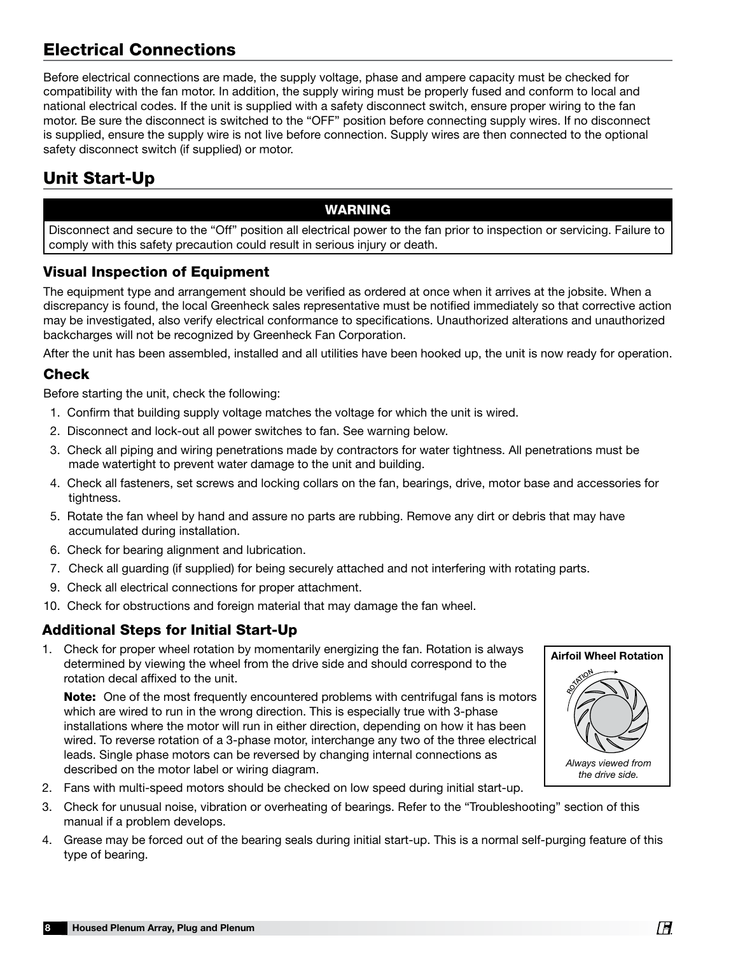# Electrical Connections

Before electrical connections are made, the supply voltage, phase and ampere capacity must be checked for compatibility with the fan motor. In addition, the supply wiring must be properly fused and conform to local and national electrical codes. If the unit is supplied with a safety disconnect switch, ensure proper wiring to the fan motor. Be sure the disconnect is switched to the "OFF" position before connecting supply wires. If no disconnect is supplied, ensure the supply wire is not live before connection. Supply wires are then connected to the optional safety disconnect switch (if supplied) or motor.

# Unit Start-Up

#### WARNING

Disconnect and secure to the "Off" position all electrical power to the fan prior to inspection or servicing. Failure to comply with this safety precaution could result in serious injury or death.

### Visual Inspection of Equipment

The equipment type and arrangement should be verified as ordered at once when it arrives at the jobsite. When a discrepancy is found, the local Greenheck sales representative must be notified immediately so that corrective action may be investigated, also verify electrical conformance to specifications. Unauthorized alterations and unauthorized backcharges will not be recognized by Greenheck Fan Corporation.

After the unit has been assembled, installed and all utilities have been hooked up, the unit is now ready for operation.

### Check

Before starting the unit, check the following:

- 1. Confirm that building supply voltage matches the voltage for which the unit is wired.
- 2. Disconnect and lock-out all power switches to fan. See warning below.
- 3. Check all piping and wiring penetrations made by contractors for water tightness. All penetrations must be made watertight to prevent water damage to the unit and building.
- 4. Check all fasteners, set screws and locking collars on the fan, bearings, drive, motor base and accessories for tightness.
- 5. Rotate the fan wheel by hand and assure no parts are rubbing. Remove any dirt or debris that may have accumulated during installation.
- 6. Check for bearing alignment and lubrication.
- 7. Check all guarding (if supplied) for being securely attached and not interfering with rotating parts.
- 9. Check all electrical connections for proper attachment.
- 10. Check for obstructions and foreign material that may damage the fan wheel.

### Additional Steps for Initial Start-Up

1. Check for proper wheel rotation by momentarily energizing the fan. Rotation is always determined by viewing the wheel from the drive side and should correspond to the rotation decal affixed to the unit.

Note: One of the most frequently encountered problems with centrifugal fans is motors which are wired to run in the wrong direction. This is especially true with 3-phase installations where the motor will run in either direction, depending on how it has been wired. To reverse rotation of a 3-phase motor, interchange any two of the three electrical leads. Single phase motors can be reversed by changing internal connections as described on the motor label or wiring diagram.

- 2. Fans with multi-speed motors should be checked on low speed during initial start-up.
- 3. Check for unusual noise, vibration or overheating of bearings. Refer to the "Troubleshooting" section of this manual if a problem develops.
- 4. Grease may be forced out of the bearing seals during initial start-up. This is a normal self-purging feature of this type of bearing.

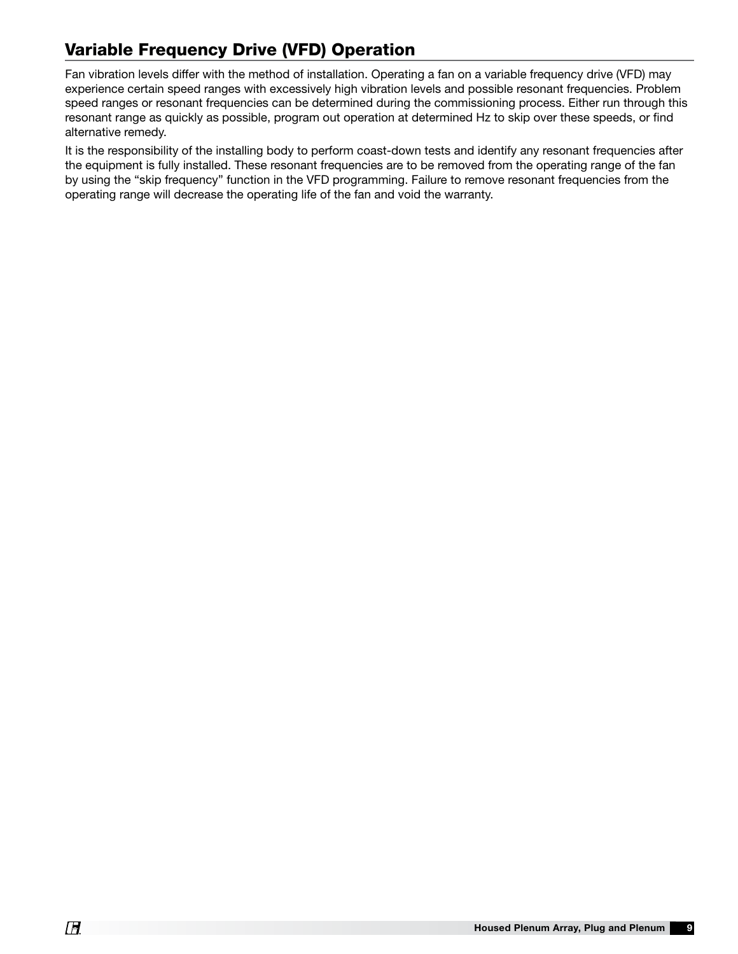# Variable Frequency Drive (VFD) Operation

Fan vibration levels differ with the method of installation. Operating a fan on a variable frequency drive (VFD) may experience certain speed ranges with excessively high vibration levels and possible resonant frequencies. Problem speed ranges or resonant frequencies can be determined during the commissioning process. Either run through this resonant range as quickly as possible, program out operation at determined Hz to skip over these speeds, or find alternative remedy.

It is the responsibility of the installing body to perform coast-down tests and identify any resonant frequencies after the equipment is fully installed. These resonant frequencies are to be removed from the operating range of the fan by using the "skip frequency" function in the VFD programming. Failure to remove resonant frequencies from the operating range will decrease the operating life of the fan and void the warranty.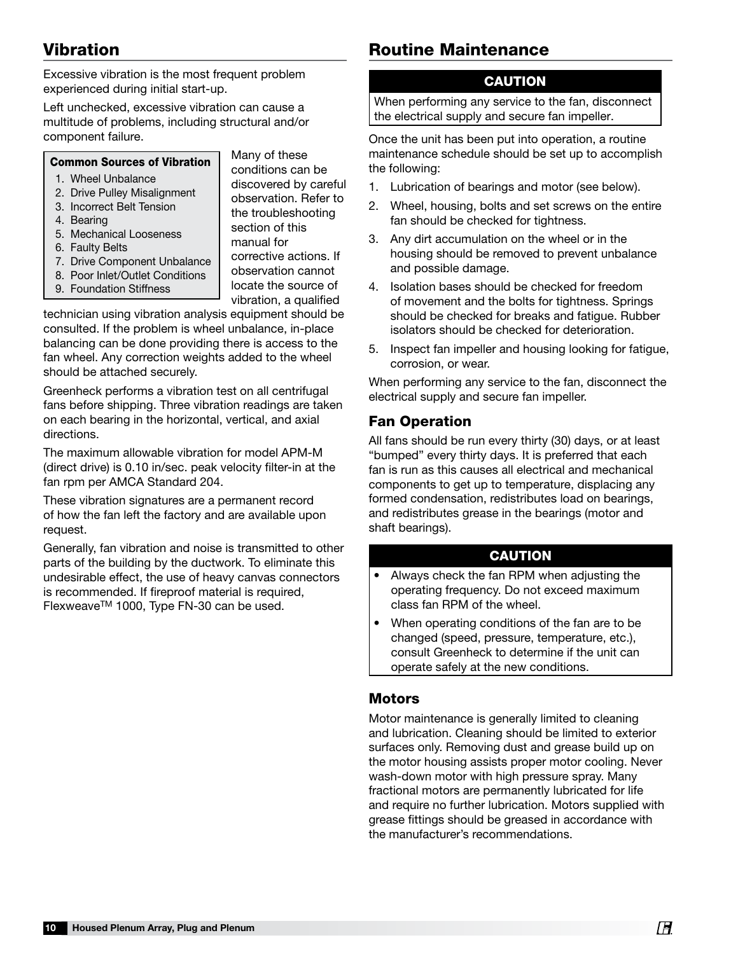# Vibration

Excessive vibration is the most frequent problem experienced during initial start-up.

Left unchecked, excessive vibration can cause a multitude of problems, including structural and/or component failure.

#### Common Sources of Vibration

- 1. Wheel Unbalance
- 2. Drive Pulley Misalignment
- 3. Incorrect Belt Tension
- 4. Bearing
- 5. Mechanical Looseness
- 6. Faulty Belts
- 7. Drive Component Unbalance
- 8. Poor Inlet/Outlet Conditions
- 9. Foundation Stiffness

manual for corrective actions. If observation cannot locate the source of vibration, a qualified technician using vibration analysis equipment should be

Many of these conditions can be discovered by careful observation. Refer to the troubleshooting section of this

consulted. If the problem is wheel unbalance, in-place balancing can be done providing there is access to the fan wheel. Any correction weights added to the wheel should be attached securely.

Greenheck performs a vibration test on all centrifugal fans before shipping. Three vibration readings are taken on each bearing in the horizontal, vertical, and axial directions.

The maximum allowable vibration for model APM-M (direct drive) is 0.10 in/sec. peak velocity filter-in at the fan rpm per AMCA Standard 204.

These vibration signatures are a permanent record of how the fan left the factory and are available upon request.

Generally, fan vibration and noise is transmitted to other parts of the building by the ductwork. To eliminate this undesirable effect, the use of heavy canvas connectors is recommended. If fireproof material is required, FlexweaveTM 1000, Type FN-30 can be used.

## Routine Maintenance

#### **CAUTION**

When performing any service to the fan, disconnect the electrical supply and secure fan impeller.

Once the unit has been put into operation, a routine maintenance schedule should be set up to accomplish the following:

- 1. Lubrication of bearings and motor (see below).
- 2. Wheel, housing, bolts and set screws on the entire fan should be checked for tightness.
- 3. Any dirt accumulation on the wheel or in the housing should be removed to prevent unbalance and possible damage.
- 4. Isolation bases should be checked for freedom of movement and the bolts for tightness. Springs should be checked for breaks and fatigue. Rubber isolators should be checked for deterioration.
- 5. Inspect fan impeller and housing looking for fatigue, corrosion, or wear.

When performing any service to the fan, disconnect the electrical supply and secure fan impeller.

#### Fan Operation

All fans should be run every thirty (30) days, or at least "bumped" every thirty days. It is preferred that each fan is run as this causes all electrical and mechanical components to get up to temperature, displacing any formed condensation, redistributes load on bearings, and redistributes grease in the bearings (motor and shaft bearings).

### CAUTION

- Always check the fan RPM when adjusting the operating frequency. Do not exceed maximum class fan RPM of the wheel.
- When operating conditions of the fan are to be changed (speed, pressure, temperature, etc.), consult Greenheck to determine if the unit can operate safely at the new conditions.

### **Motors**

Motor maintenance is generally limited to cleaning and lubrication. Cleaning should be limited to exterior surfaces only. Removing dust and grease build up on the motor housing assists proper motor cooling. Never wash-down motor with high pressure spray. Many fractional motors are permanently lubricated for life and require no further lubrication. Motors supplied with grease fittings should be greased in accordance with the manufacturer's recommendations.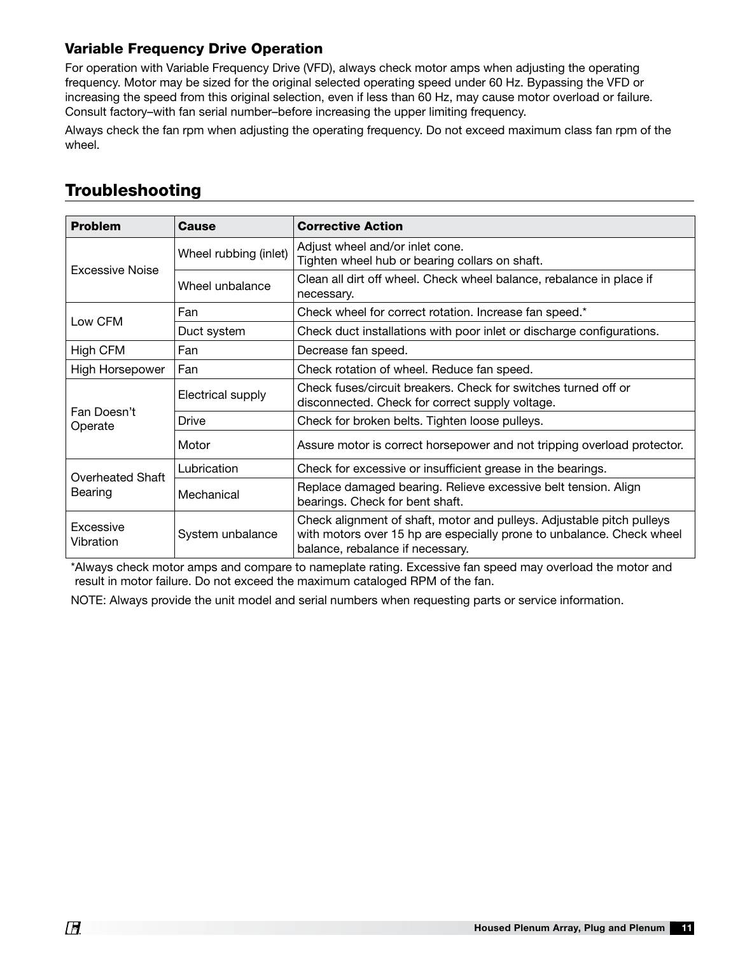### Variable Frequency Drive Operation

For operation with Variable Frequency Drive (VFD), always check motor amps when adjusting the operating frequency. Motor may be sized for the original selected operating speed under 60 Hz. Bypassing the VFD or increasing the speed from this original selection, even if less than 60 Hz, may cause motor overload or failure. Consult factory–with fan serial number–before increasing the upper limiting frequency.

Always check the fan rpm when adjusting the operating frequency. Do not exceed maximum class fan rpm of the wheel.

| <b>Problem</b>              | <b>Cause</b>          | <b>Corrective Action</b>                                                                                                                                                           |
|-----------------------------|-----------------------|------------------------------------------------------------------------------------------------------------------------------------------------------------------------------------|
| <b>Excessive Noise</b>      | Wheel rubbing (inlet) | Adjust wheel and/or inlet cone.<br>Tighten wheel hub or bearing collars on shaft.                                                                                                  |
|                             | Wheel unbalance       | Clean all dirt off wheel. Check wheel balance, rebalance in place if<br>necessary.                                                                                                 |
| Low CFM                     | Fan                   | Check wheel for correct rotation. Increase fan speed.*                                                                                                                             |
|                             | Duct system           | Check duct installations with poor inlet or discharge configurations.                                                                                                              |
| High CFM                    | Fan                   | Decrease fan speed.                                                                                                                                                                |
| <b>High Horsepower</b>      | Fan                   | Check rotation of wheel. Reduce fan speed.                                                                                                                                         |
| Fan Doesn't<br>Operate      | Electrical supply     | Check fuses/circuit breakers. Check for switches turned off or<br>disconnected. Check for correct supply voltage.                                                                  |
|                             | <b>Drive</b>          | Check for broken belts. Tighten loose pulleys.                                                                                                                                     |
|                             | Motor                 | Assure motor is correct horsepower and not tripping overload protector.                                                                                                            |
| Overheated Shaft<br>Bearing | Lubrication           | Check for excessive or insufficient grease in the bearings.                                                                                                                        |
|                             | Mechanical            | Replace damaged bearing. Relieve excessive belt tension. Align<br>bearings. Check for bent shaft.                                                                                  |
| Excessive<br>Vibration      | System unbalance      | Check alignment of shaft, motor and pulleys. Adjustable pitch pulleys<br>with motors over 15 hp are especially prone to unbalance. Check wheel<br>balance, rebalance if necessary. |

# Troubleshooting

\*Always check motor amps and compare to nameplate rating. Excessive fan speed may overload the motor and result in motor failure. Do not exceed the maximum cataloged RPM of the fan.

NOTE: Always provide the unit model and serial numbers when requesting parts or service information.